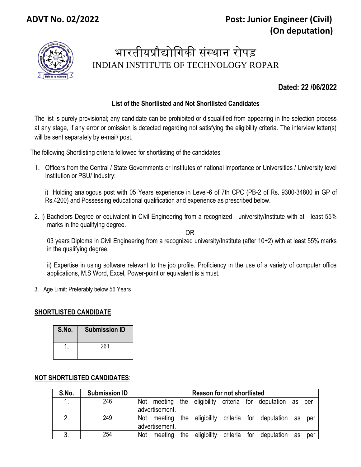

# भारतीयप्रौद्योगिकी संस्थान रोपड़ INDIAN INSTITUTE OF TECHNOLOGY ROPAR

## **Dated: 22 /06/2022**

## **List of the Shortlisted and Not Shortlisted Candidates**

The list is purely provisional; any candidate can be prohibited or disqualified from appearing in the selection process at any stage, if any error or omission is detected regarding not satisfying the eligibility criteria. The interview letter(s) will be sent separately by e-mail/ post.

The following Shortlisting criteria followed for shortlisting of the candidates:

1. Officers from the Central / State Governments or Institutes of national importance or Universities / University level Institution or PSU/ Industry:

i) Holding analogous post with 05 Years experience in Level-6 of 7th CPC (PB-2 of Rs. 9300-34800 in GP of Rs.4200) and Possessing educational qualification and experience as prescribed below.

2. i) Bachelors Degree or equivalent in Civil Engineering from a recognized university/Institute with at least 55% marks in the qualifying degree.

OR

03 years Diploma in Civil Engineering from a recognized university/Institute (after 10+2) with at least 55% marks in the qualifying degree.

ii) Expertise in using software relevant to the job profile. Proficiency in the use of a variety of computer office applications, M.S Word, Excel, Power-point or equivalent is a must.

3. Age Limit: Preferably below 56 Years

#### **SHORTLISTED CANDIDATE**:

| S.No. | <b>Submission ID</b> |
|-------|----------------------|
|       | 261                  |

### **NOT SHORTLISTED CANDIDATES**:

| S.No. | <b>Submission ID</b> | <b>Reason for not shortlisted</b> |                |     |             |          |     |                                                        |    |       |
|-------|----------------------|-----------------------------------|----------------|-----|-------------|----------|-----|--------------------------------------------------------|----|-------|
|       | 246                  | Not                               | advertisement. |     |             |          |     | meeting the eligibility criteria for deputation as     |    | per   |
|       | 249                  |                                   | advertisement. |     |             |          |     | Not meeting the eligibility criteria for deputation as |    | - per |
|       | 254                  | Not                               | meeting        | the | eligibility | criteria | for | deputation                                             | as | per   |